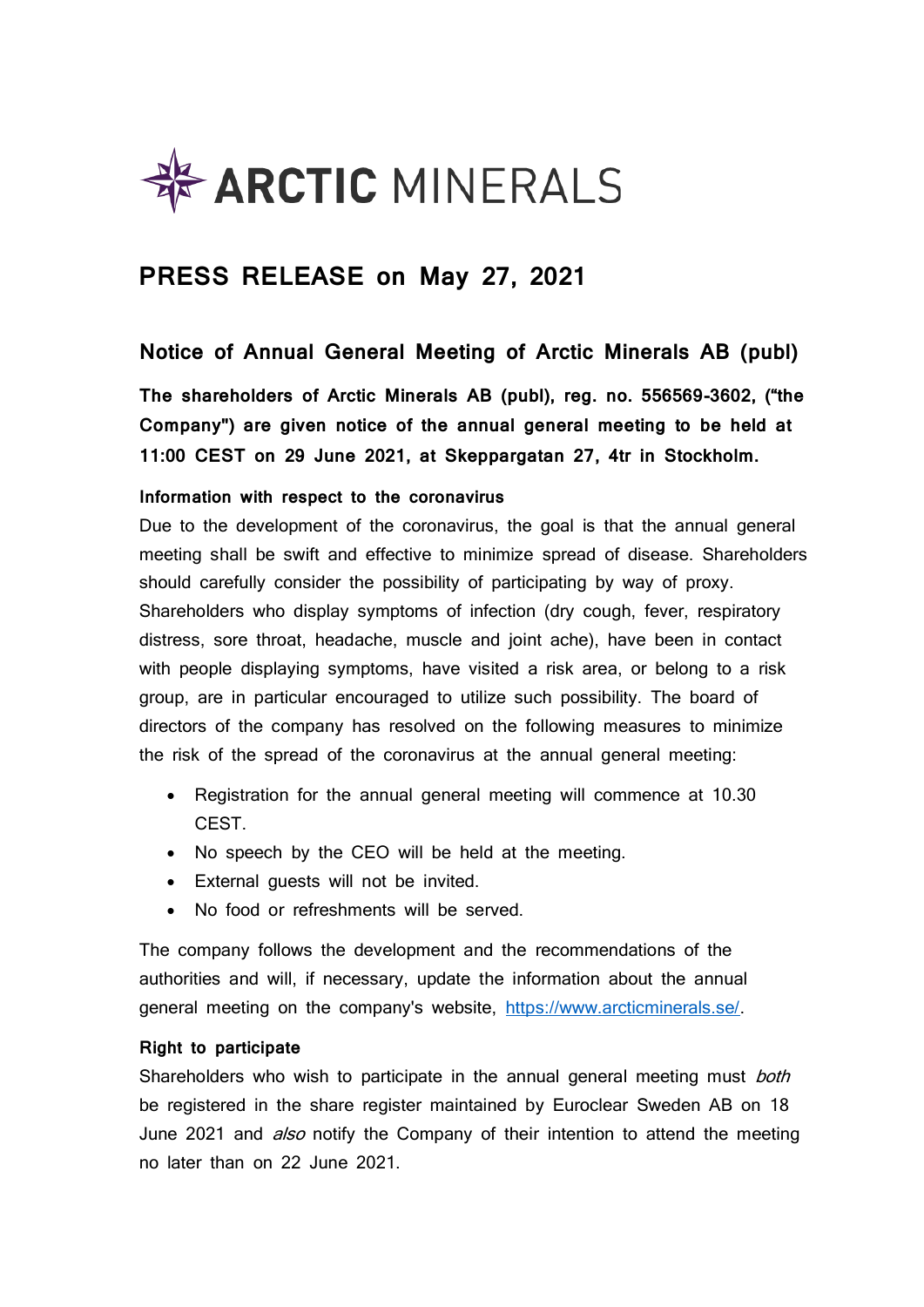

# **PRESS RELEASE on May 27, 2021**

### **Notice of Annual General Meeting of Arctic Minerals AB (publ)**

**The shareholders of Arctic Minerals AB (publ), reg. no. 556569-3602, ("the Company") are given notice of the annual general meeting to be held at 11:00 CEST on 29 June 2021, at Skeppargatan 27, 4tr in Stockholm.**

### **Information with respect to the coronavirus**

Due to the development of the coronavirus, the goal is that the annual general meeting shall be swift and effective to minimize spread of disease. Shareholders should carefully consider the possibility of participating by way of proxy. Shareholders who display symptoms of infection (dry cough, fever, respiratory distress, sore throat, headache, muscle and joint ache), have been in contact with people displaying symptoms, have visited a risk area, or belong to a risk group, are in particular encouraged to utilize such possibility. The board of directors of the company has resolved on the following measures to minimize the risk of the spread of the coronavirus at the annual general meeting:

- Registration for the annual general meeting will commence at 10.30 CEST.
- No speech by the CEO will be held at the meeting.
- External guests will not be invited.
- No food or refreshments will be served.

The company follows the development and the recommendations of the authorities and will, if necessary, update the information about the annual general meeting on the company's website, [https://www.arcticminerals.se/.](https://www.arcticminerals.se/)

### **Right to participate**

Shareholders who wish to participate in the annual general meeting must both be registered in the share register maintained by Euroclear Sweden AB on 18 June 2021 and *also* notify the Company of their intention to attend the meeting no later than on 22 June 2021.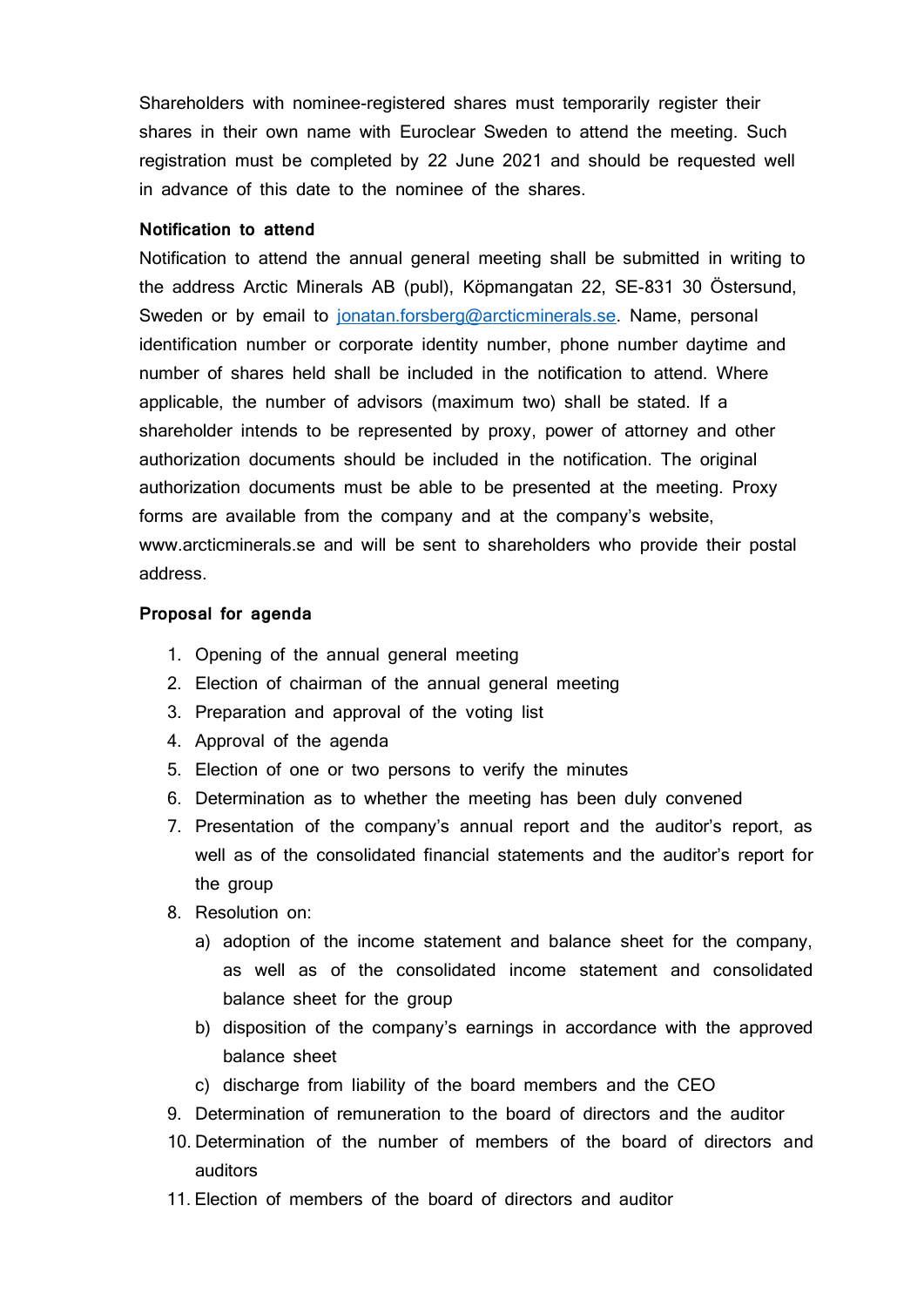Shareholders with nominee-registered shares must temporarily register their shares in their own name with Euroclear Sweden to attend the meeting. Such registration must be completed by 22 June 2021 and should be requested well in advance of this date to the nominee of the shares.

### **Notification to attend**

Notification to attend the annual general meeting shall be submitted in writing to the address Arctic Minerals AB (publ), Köpmangatan 22, SE-831 30 Östersund, Sweden or by email to [jonatan.forsberg@arcticminerals.se.](mailto:jonatan.forsberg@arcticminerals.se) Name, personal identification number or corporate identity number, phone number daytime and number of shares held shall be included in the notification to attend. Where applicable, the number of advisors (maximum two) shall be stated. If a shareholder intends to be represented by proxy, power of attorney and other authorization documents should be included in the notification. The original authorization documents must be able to be presented at the meeting. Proxy forms are available from the company and at the company's website, www.arcticminerals.se and will be sent to shareholders who provide their postal address.

#### **Proposal for agenda**

- 1. Opening of the annual general meeting
- 2. Election of chairman of the annual general meeting
- 3. Preparation and approval of the voting list
- 4. Approval of the agenda
- 5. Election of one or two persons to verify the minutes
- 6. Determination as to whether the meeting has been duly convened
- 7. Presentation of the company's annual report and the auditor's report, as well as of the consolidated financial statements and the auditor's report for the group
- 8. Resolution on:
	- a) adoption of the income statement and balance sheet for the company, as well as of the consolidated income statement and consolidated balance sheet for the group
	- b) disposition of the company's earnings in accordance with the approved balance sheet
	- c) discharge from liability of the board members and the CEO
- 9. Determination of remuneration to the board of directors and the auditor
- 10. Determination of the number of members of the board of directors and auditors
- 11. Election of members of the board of directors and auditor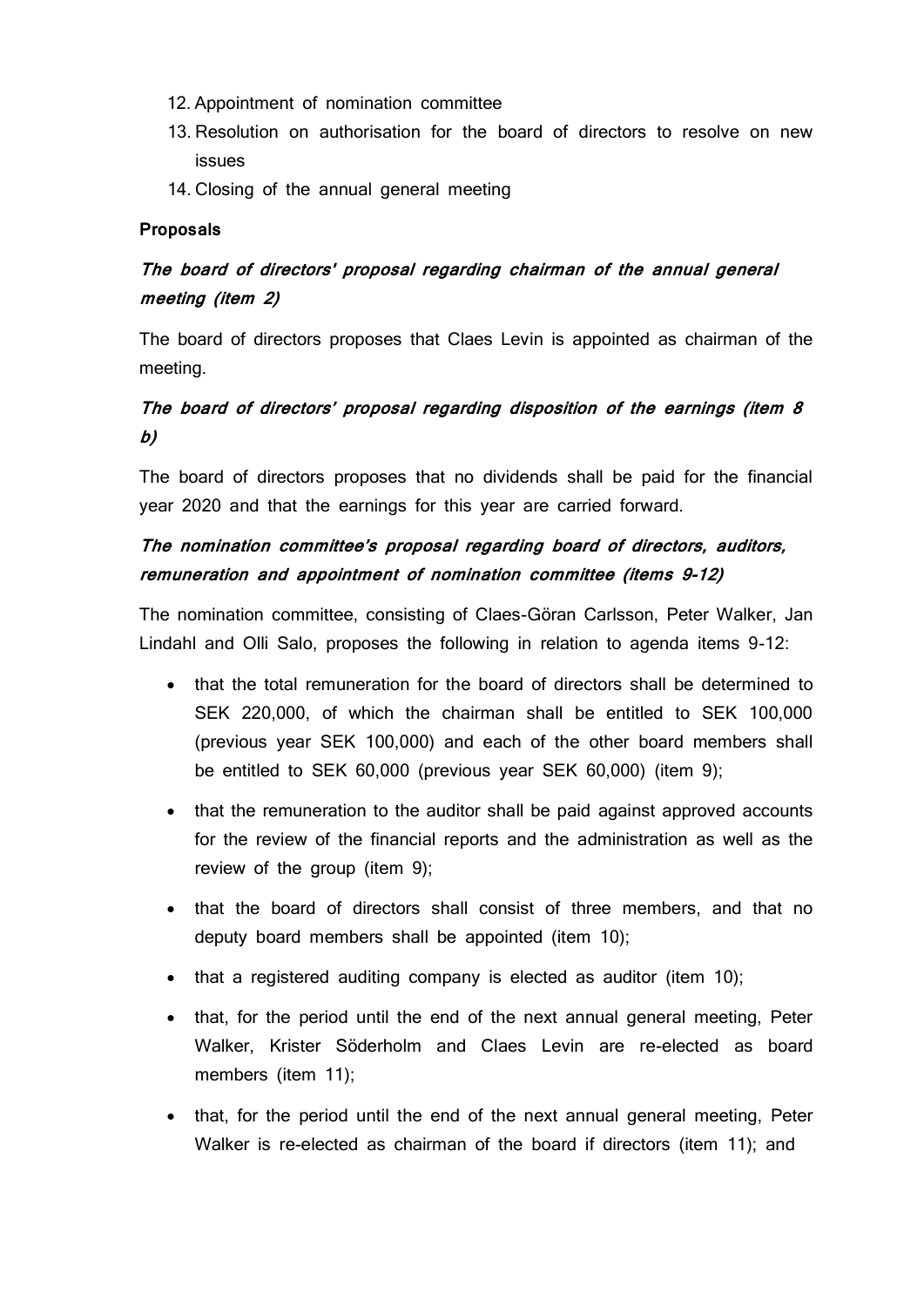- 12. Appointment of nomination committee
- 13. Resolution on authorisation for the board of directors to resolve on new issues
- 14. Closing of the annual general meeting

### **Proposals**

## **The board of directors' proposal regarding chairman of the annual general meeting (item 2)**

The board of directors proposes that Claes Levin is appointed as chairman of the meeting.

### **The board of directors' proposal regarding disposition of the earnings (item 8 b)**

The board of directors proposes that no dividends shall be paid for the financial year 2020 and that the earnings for this year are carried forward.

### **The nomination committee's proposal regarding board of directors, auditors, remuneration and appointment of nomination committee (items 9-12)**

The nomination committee, consisting of Claes-Göran Carlsson, Peter Walker, Jan Lindahl and Olli Salo, proposes the following in relation to agenda items 9-12:

- that the total remuneration for the board of directors shall be determined to SEK 220,000, of which the chairman shall be entitled to SEK 100,000 (previous year SEK 100,000) and each of the other board members shall be entitled to SEK 60,000 (previous year SEK 60,000) (item 9);
- that the remuneration to the auditor shall be paid against approved accounts for the review of the financial reports and the administration as well as the review of the group (item 9);
- that the board of directors shall consist of three members, and that no deputy board members shall be appointed (item 10);
- that a registered auditing company is elected as auditor (item 10);
- that, for the period until the end of the next annual general meeting, Peter Walker, Krister Söderholm and Claes Levin are re-elected as board members (item 11);
- that, for the period until the end of the next annual general meeting, Peter Walker is re-elected as chairman of the board if directors (item 11); and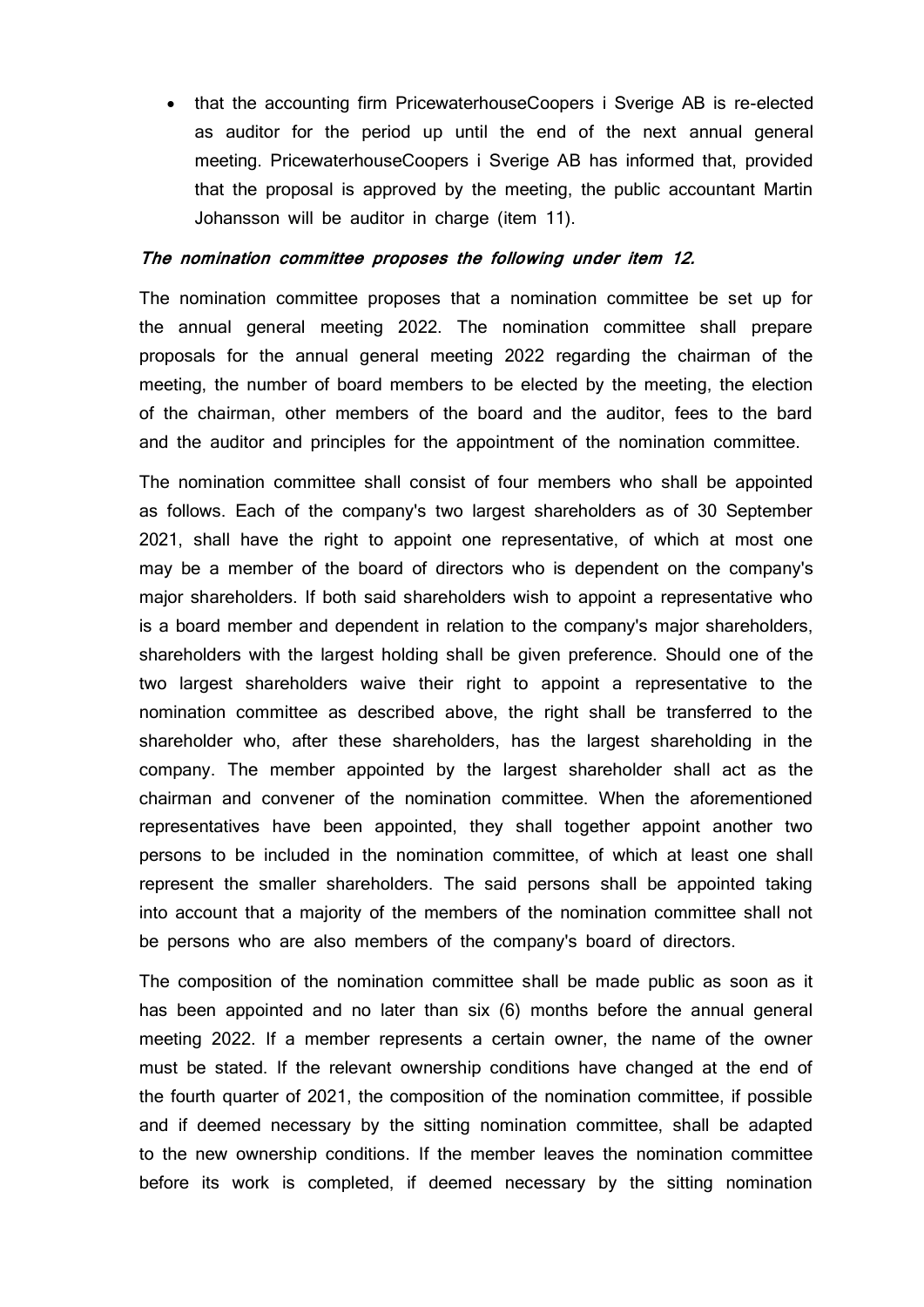• that the accounting firm PricewaterhouseCoopers i Sverige AB is re-elected as auditor for the period up until the end of the next annual general meeting. PricewaterhouseCoopers i Sverige AB has informed that, provided that the proposal is approved by the meeting, the public accountant Martin Johansson will be auditor in charge (item 11).

#### **The nomination committee proposes the following under item 12.**

The nomination committee proposes that a nomination committee be set up for the annual general meeting 2022. The nomination committee shall prepare proposals for the annual general meeting 2022 regarding the chairman of the meeting, the number of board members to be elected by the meeting, the election of the chairman, other members of the board and the auditor, fees to the bard and the auditor and principles for the appointment of the nomination committee.

The nomination committee shall consist of four members who shall be appointed as follows. Each of the company's two largest shareholders as of 30 September 2021, shall have the right to appoint one representative, of which at most one may be a member of the board of directors who is dependent on the company's major shareholders. If both said shareholders wish to appoint a representative who is a board member and dependent in relation to the company's major shareholders, shareholders with the largest holding shall be given preference. Should one of the two largest shareholders waive their right to appoint a representative to the nomination committee as described above, the right shall be transferred to the shareholder who, after these shareholders, has the largest shareholding in the company. The member appointed by the largest shareholder shall act as the chairman and convener of the nomination committee. When the aforementioned representatives have been appointed, they shall together appoint another two persons to be included in the nomination committee, of which at least one shall represent the smaller shareholders. The said persons shall be appointed taking into account that a majority of the members of the nomination committee shall not be persons who are also members of the company's board of directors.

The composition of the nomination committee shall be made public as soon as it has been appointed and no later than six (6) months before the annual general meeting 2022. If a member represents a certain owner, the name of the owner must be stated. If the relevant ownership conditions have changed at the end of the fourth quarter of 2021, the composition of the nomination committee, if possible and if deemed necessary by the sitting nomination committee, shall be adapted to the new ownership conditions. If the member leaves the nomination committee before its work is completed, if deemed necessary by the sitting nomination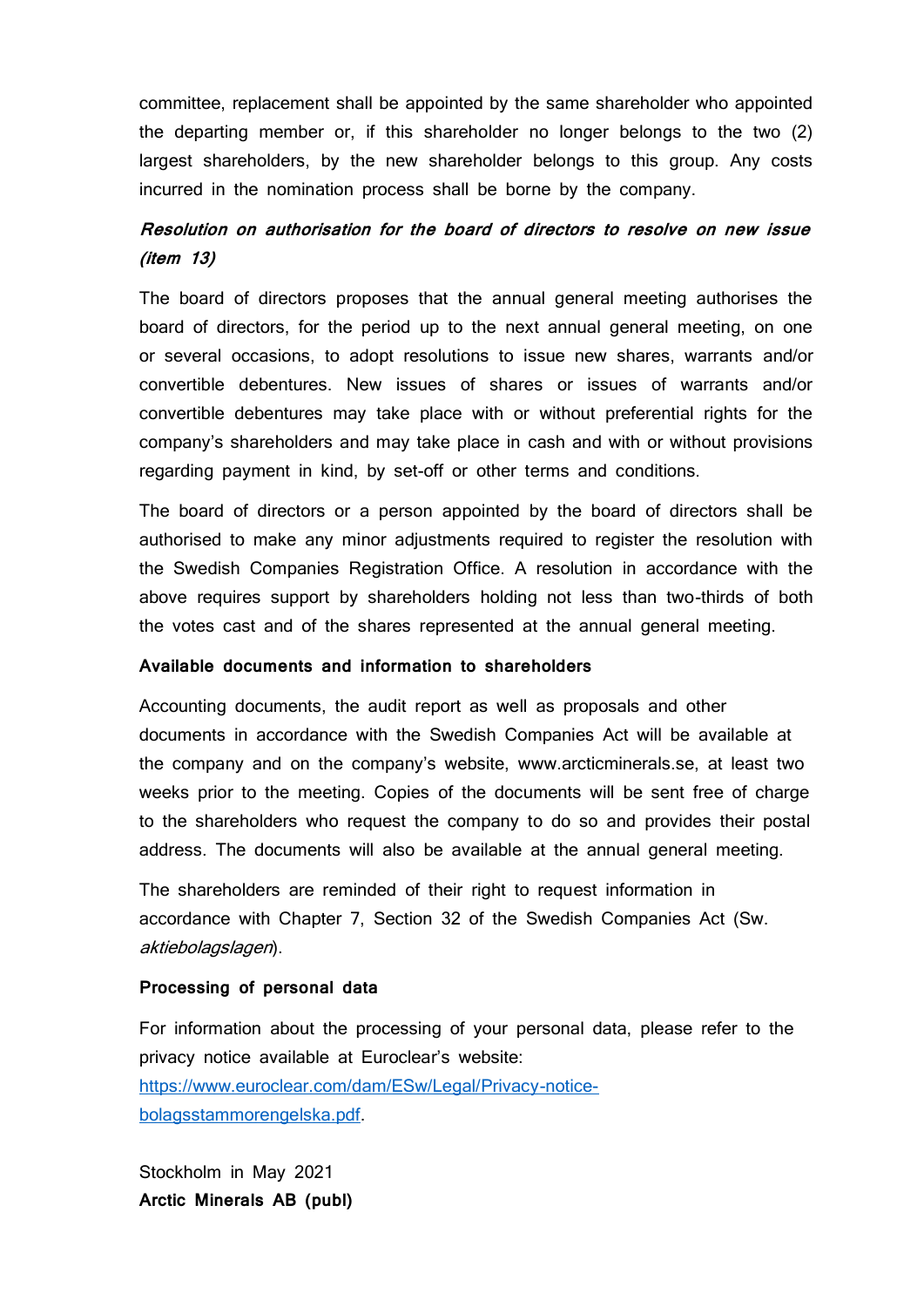committee, replacement shall be appointed by the same shareholder who appointed the departing member or, if this shareholder no longer belongs to the two (2) largest shareholders, by the new shareholder belongs to this group. Any costs incurred in the nomination process shall be borne by the company.

### **Resolution on authorisation for the board of directors to resolve on new issue (item 13)**

The board of directors proposes that the annual general meeting authorises the board of directors, for the period up to the next annual general meeting, on one or several occasions, to adopt resolutions to issue new shares, warrants and/or convertible debentures. New issues of shares or issues of warrants and/or convertible debentures may take place with or without preferential rights for the company's shareholders and may take place in cash and with or without provisions regarding payment in kind, by set-off or other terms and conditions.

The board of directors or a person appointed by the board of directors shall be authorised to make any minor adjustments required to register the resolution with the Swedish Companies Registration Office. A resolution in accordance with the above requires support by shareholders holding not less than two-thirds of both the votes cast and of the shares represented at the annual general meeting.

#### **Available documents and information to shareholders**

Accounting documents, the audit report as well as proposals and other documents in accordance with the Swedish Companies Act will be available at the company and on the company's website, www.arcticminerals.se, at least two weeks prior to the meeting. Copies of the documents will be sent free of charge to the shareholders who request the company to do so and provides their postal address. The documents will also be available at the annual general meeting.

The shareholders are reminded of their right to request information in accordance with Chapter 7, Section 32 of the Swedish Companies Act (Sw. aktiebolagslagen).

### **Processing of personal data**

For information about the processing of your personal data, please refer to the privacy notice available at Euroclear's website: [https://www.euroclear.com/dam/ESw/Legal/Privacy-notice](https://www.euroclear.com/dam/ESw/Legal/Privacy-notice-bolagsstammorengelska.pdf)[bolagsstammorengelska.pdf.](https://www.euroclear.com/dam/ESw/Legal/Privacy-notice-bolagsstammorengelska.pdf)

Stockholm in May 2021 **Arctic Minerals AB (publ)**